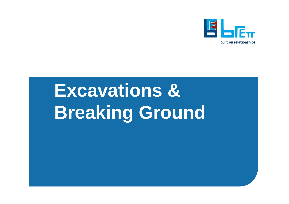

# **Excavations & Breaking Ground**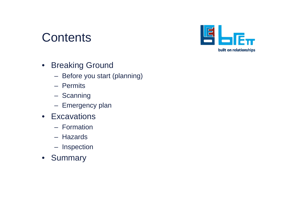#### **Contents**



- Breaking Ground
	- Before you start (planning)
	- Permits
	- **Scanning**
	- Emergency plan
- Excavations
	- Formation
	- Hazards
	- Inspection
- Summary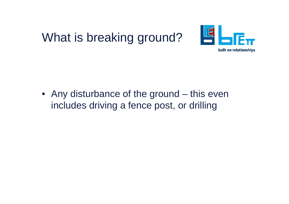# What is breaking ground?



• Any disturbance of the ground – this even includes driving a fence post, or drilling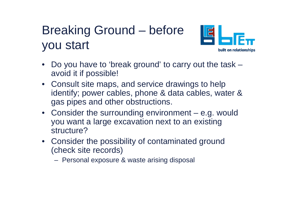# Breaking Ground – before you start



- $\bullet$  Do you have to 'break ground' to carry out the task – avoid it if possible!
- Consult site maps, and service drawings to help identify; power cables, phone & data cables, water & gas pipes and other obstructions.
- Consider the surrounding environment e.g. would you want a large excavation next to an existing structure?
- Consider the possibility of contaminated ground (check site records)

Personal exposure & waste arising disposal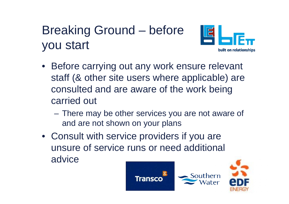# Breaking Ground – before you start



- Before carrying out any work ensure relevant staff (& other site users where applicable) are consulted and are aware of the work being carried out
	- **Hart Community**  There may be other services you are not aware of and are not shown on your plans
- Consult with service providers if you are unsure of service runs or need additional advice

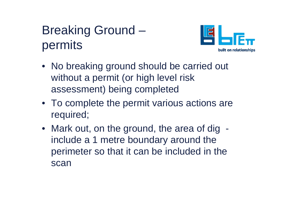# Breaking Ground – permits



- No breaking ground should be carried out without a permit (or high level risk assessment) being completed
- To complete the permit various actions are required;
- Mark out, on the ground, the area of dig include a 1 metre boundary around the perimeter so that it can be included in the scan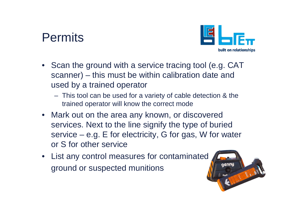### Permits



- Scan the ground with a service tracing tool (e.g. CAT scanner) – this must be within calibration date and used by a trained operator
	- This tool can be used for a variety of cable detection & the trained operator will know the correct mode
- Mark out on the area any known, or discovered services. Next to the line signify the type of buried service – e.g. E for electricity, G for gas, W for water or S for other service
- List any control measures for contaminated ground or suspected munitions

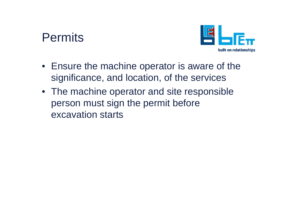#### Permits



- Ensure the machine operator is aware of the significance, and location, of the services
- The machine operator and site responsible person must sign the permit before excavation starts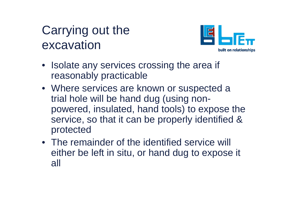# Carrying out the excavation



- Isolate any services crossing the area if reasonably practicable
- Where services are known or suspected a trial hole will be hand dug (using nonpowered, insulated, hand tools) to expose the service, so that it can be properly identified & protected
- The remainder of the identified service will either be left in situ, or hand dug to expose it all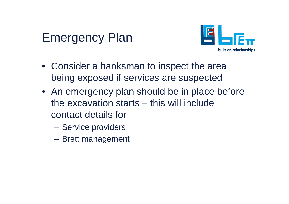## Emergency Plan



- Consider a banksman to inspect the area being exposed if services are suspected
- An emergency plan should be in place before the excavation starts – this will include contact details for
	- **Hart Committee** Service providers
	- **Hart Community** Brett management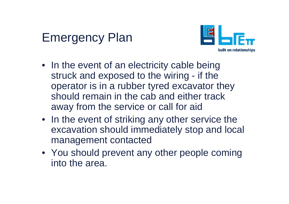# Emergency Plan



- In the event of an electricity cable being struck and exposed to the wiring - if the operator is in a rubber tyred excavator they should remain in the cab and either track away from the service or call for aid
- In the event of striking any other service the excavation should immediately stop and local management contacted
- You should prevent any other people coming into the area.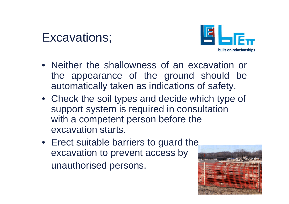

- Neither the shallowness of an excavation or the appearance of the ground should be automatically taken as indications of safety.
- Check the soil types and decide which type of support system is required in consultation with a competent person before the excavation starts.
- Erect suitable barriers to guard the excavation to prevent access by unauthorised persons.

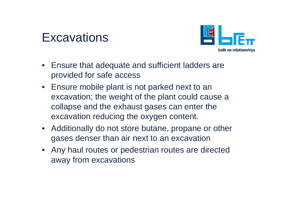

- Ensure that adequate and sufficient ladders are provided for safe access
- Ensure mobile plant is not parked next to an excavation; the weight of the plant could cause a collapse and the exhaust gases can enter the excavation reducing the oxygen content.
- Additionally do not store butane, propane or other gases denser than air next to an excavation
- Any haul routes or pedestrian routes are directed away from excavations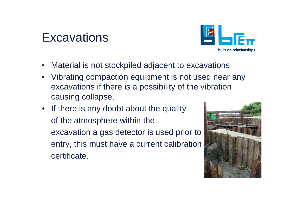

- •Material is not stockpiled adjacent to excavations.
- • [Vibrating compaction equipment is not used near an](http://www.brhgarver.com/picts/projects06.jpg)y excavations if there is a possibility of the vibration causing collapse.
- If there is any doubt about the quality of the atmosphere within the excavation a gas detector is used prior to entry, this must have a current calibration certificate.

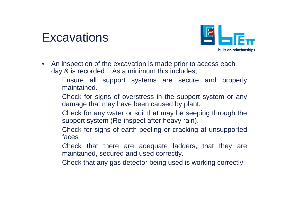

- $\bullet$  An inspection of the excavation is made prior to access each day & is recorded . As a minimum this includes;
	- Ensure all support systems are secure and properly maintained.
	- Check for signs of overstress in the support system or any damage that may have been caused by plant.
	- Check for any water or soil that may be seeping through the support system (Re-inspect after heavy rain).
	- Check for signs of earth peeling or cracking at unsupported faces
	- Check that there are adequate ladders, that they are maintained, secured and used correctly.
	- Check that any gas detector being used is working correctly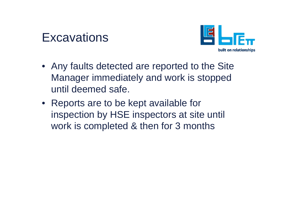

- Any faults detected are reported to the Site Manager immediately and work is stopped until deemed safe.
- Reports are to be kept available for inspection by HSE inspectors at site until work is completed & then for 3 months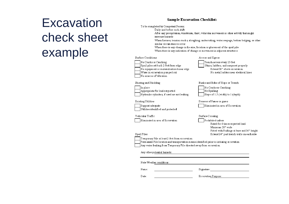# **Excavation** check sheet example

#### **Sample Excavation Checklist:**

To be completed by Competent Person:

Daily and before each shift

After any precipitation, windstorm, thaw, vehicular movement or other activity that might increase hazards

When fissures, tension cracks, sloughing, undercutting, water seepage, bottom bulging, or other similar circum stances occur

When there is any change in the size, location or placement of the spoil pile When there is any indication of change or movement in adjacent structures

| Surface Conditions                                                                                                                                                        | Access and Egress                                                                                                                                 |
|---------------------------------------------------------------------------------------------------------------------------------------------------------------------------|---------------------------------------------------------------------------------------------------------------------------------------------------|
| No Cracks or Cracking<br>Spoil piles set back 2 feet from edge<br>No equipment or materials stored near edge<br>Water in excavation pumped out<br>No sources of vibration | Trench access every 25 feet<br>Stairs, ladders, and ramps set properly<br>Extend 36" above ex cavation<br>No metal ladders near electrical lines. |
| Shoring and Shielding                                                                                                                                                     | Banks and Sides of Slope or Trench                                                                                                                |
| In place<br>Appropriate for loads expected<br>Hydraulic cylinders, if used are not leaking                                                                                | No Cracks or Cracking<br>No Spalling<br>Slope of 1.5 (width) to 1 (depth)                                                                         |
| <b>Existing Utilities</b>                                                                                                                                                 | Sources of fumes or gases                                                                                                                         |
| Support adequate<br>Utilities identified and protected                                                                                                                    | Eliminated in area of Excavation                                                                                                                  |
| Vehicular Traffic                                                                                                                                                         | Surface Crossing                                                                                                                                  |
| Eliminated in area of Excavation                                                                                                                                          | Prohibited unless<br>Rated for 4 times expected load<br>Minimum 20" wide<br>Fitted with Railings at base and 36" height                           |
| Spoil Piles                                                                                                                                                               | Extend 24" past trench walls on each side                                                                                                         |
| Temporary Pile at least 2 feet from excavation<br>Perm anent Pile location and transportation means identified prior to initiating ex cavation                            |                                                                                                                                                   |
| Any water leaking from Temporary Pile directed away from excavation                                                                                                       |                                                                                                                                                   |
| Any other potential hazards:                                                                                                                                              |                                                                                                                                                   |
| Note Weather conditions:                                                                                                                                                  |                                                                                                                                                   |
| Name:                                                                                                                                                                     |                                                                                                                                                   |
|                                                                                                                                                                           | Signature:                                                                                                                                        |
| Date:                                                                                                                                                                     | Excavation Purpose:                                                                                                                               |